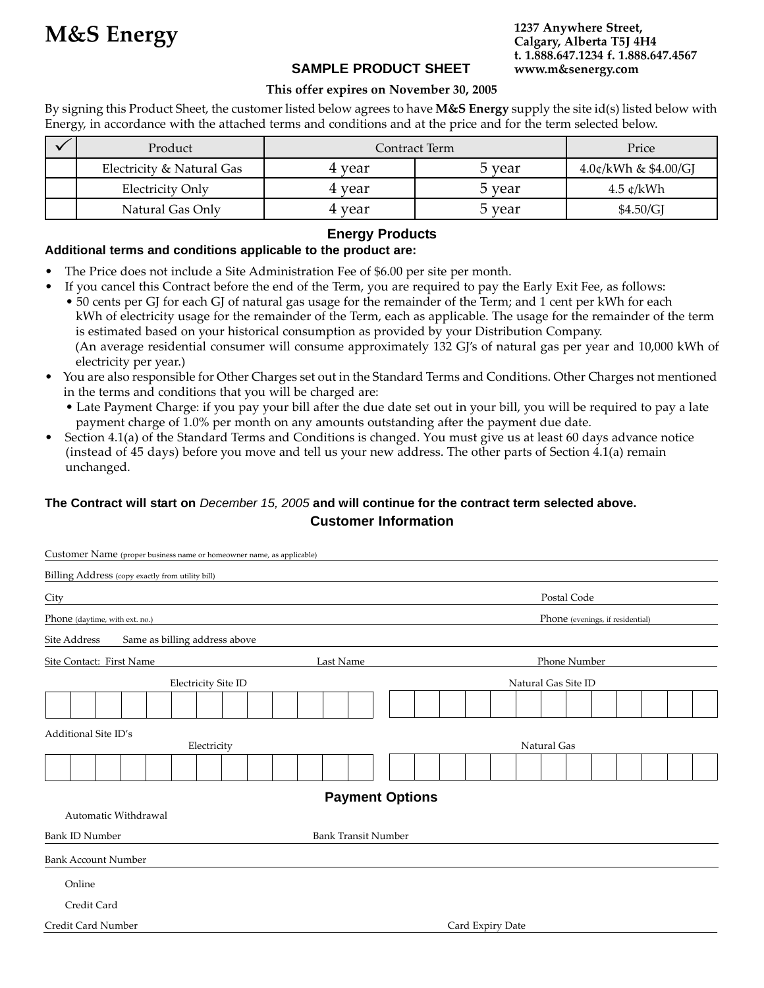# **SAMPLE PRODUCT SHEET**

**1237 Anywhere Street, Calgary, Alberta T5J 4H4 t. 1.888.647.1234 f. 1.888.647.4567 www.m&senergy.com**

### **This offer expires on November 30, 2005**

By signing this Product Sheet, the customer listed below agrees to have **M&S Energy** supply the site id(s) listed below with Energy, in accordance with the attached terms and conditions and at the price and for the term selected below.

| Product                   | Contract Term |        | Price                                   |
|---------------------------|---------------|--------|-----------------------------------------|
| Electricity & Natural Gas | 4 vear        | 5 vear | $4.0$ ¢/kWh & \$4.00/GJ                 |
| Electricity Only          | 4 year        | 5 year | $4.5 \text{ }\mathfrak{c}/\mathrm{kWh}$ |
| Natural Gas Only          | 4 year        | 5 year | \$4.50/GJ                               |

## **Energy Products**

#### **Additional terms and conditions applicable to the product are:**

- The Price does not include a Site Administration Fee of \$6.00 per site per month.
- If you cancel this Contract before the end of the Term, you are required to pay the Early Exit Fee, as follows: • 50 cents per GJ for each GJ of natural gas usage for the remainder of the Term; and 1 cent per kWh for each kWh of electricity usage for the remainder of the Term, each as applicable. The usage for the remainder of the term is estimated based on your historical consumption as provided by your Distribution Company. (An average residential consumer will consume approximately 132 GJ's of natural gas per year and 10,000 kWh of electricity per year.)
- You are also responsible for Other Charges set out in the Standard Terms and Conditions. Other Charges not mentioned in the terms and conditions that you will be charged are:
	- Late Payment Charge: if you pay your bill after the due date set out in your bill, you will be required to pay a late payment charge of 1.0% per month on any amounts outstanding after the payment due date.
- Section 4.1(a) of the Standard Terms and Conditions is changed. You must give us at least 60 days advance notice (instead of 45 days) before you move and tell us your new address. The other parts of Section 4.1(a) remain unchanged.

# **The Contract will start on** *December 15, 2005* **and will continue for the contract term selected above. Customer Information**

| Customer Name (proper business name or homeowner name, as applicable) |                            |                                  |  |  |  |
|-----------------------------------------------------------------------|----------------------------|----------------------------------|--|--|--|
| Billing Address (copy exactly from utility bill)                      |                            |                                  |  |  |  |
| City                                                                  |                            | Postal Code                      |  |  |  |
| Phone (daytime, with ext. no.)                                        |                            | Phone (evenings, if residential) |  |  |  |
| Same as billing address above<br>Site Address                         |                            |                                  |  |  |  |
| Site Contact: First Name                                              | Last Name                  | Phone Number                     |  |  |  |
| Electricity Site ID                                                   |                            | Natural Gas Site ID              |  |  |  |
|                                                                       |                            |                                  |  |  |  |
| Additional Site ID's<br>Electricity                                   |                            | Natural Gas                      |  |  |  |
|                                                                       |                            |                                  |  |  |  |
|                                                                       | <b>Payment Options</b>     |                                  |  |  |  |
| Automatic Withdrawal                                                  |                            |                                  |  |  |  |
| <b>Bank ID Number</b>                                                 | <b>Bank Transit Number</b> |                                  |  |  |  |
| <b>Bank Account Number</b>                                            |                            |                                  |  |  |  |
| Online                                                                |                            |                                  |  |  |  |
| Credit Card                                                           |                            |                                  |  |  |  |
| Credit Card Number                                                    |                            | Card Expiry Date                 |  |  |  |